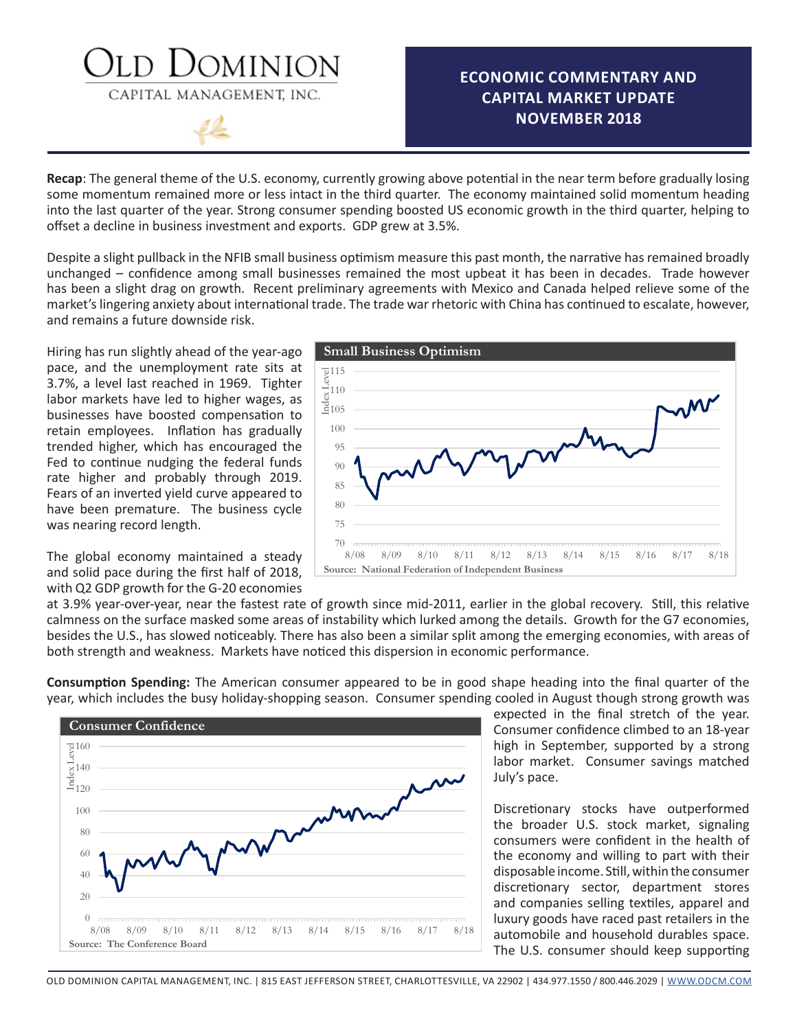### OMINION CAPITAL MANAGEMENT, INC.

### **ECONOMIC COMMENTARY AND CAPITAL MARKET UPDATE NOVEMBER 2018**

**Recap**: The general theme of the U.S. economy, currently growing above potential in the near term before gradually losing some momentum remained more or less intact in the third quarter. The economy maintained solid momentum heading into the last quarter of the year. Strong consumer spending boosted US economic growth in the third quarter, helping to offset a decline in business investment and exports. GDP grew at 3.5%.

Despite a slight pullback in the NFIB small business optimism measure this past month, the narrative has remained broadly unchanged – confidence among small businesses remained the most upbeat it has been in decades. Trade however has been a slight drag on growth. Recent preliminary agreements with Mexico and Canada helped relieve some of the market's lingering anxiety about international trade. The trade war rhetoric with China has continued to escalate, however, and remains a future downside risk.

Hiring has run slightly ahead of the year-ago pace, and the unemployment rate sits at 3.7%, a level last reached in 1969. Tighter labor markets have led to higher wages, as businesses have boosted compensation to retain employees. Inflation has gradually trended higher, which has encouraged the Fed to continue nudging the federal funds rate higher and probably through 2019. Fears of an inverted yield curve appeared to have been premature. The business cycle was nearing record length.

The global economy maintained a steady and solid pace during the first half of 2018, with Q2 GDP growth for the G-20 economies



at 3.9% year-over-year, near the fastest rate of growth since mid-2011, earlier in the global recovery. Still, this relative calmness on the surface masked some areas of instability which lurked among the details. Growth for the G7 economies, besides the U.S., has slowed noticeably. There has also been a similar split among the emerging economies, with areas of both strength and weakness. Markets have noticed this dispersion in economic performance.

**Consumption Spending:** The American consumer appeared to be in good shape heading into the final quarter of the year, which includes the busy holiday-shopping season. Consumer spending cooled in August though strong growth was



expected in the final stretch of the year. Consumer confidence climbed to an 18-year high in September, supported by a strong labor market. Consumer savings matched July's pace.

Discretionary stocks have outperformed the broader U.S. stock market, signaling consumers were confident in the health of the economy and willing to part with their disposable income. Still, within the consumer discretionary sector, department stores and companies selling textiles, apparel and luxury goods have raced past retailers in the automobile and household durables space. The U.S. consumer should keep supporting

OLD DOMINION CAPITAL MANAGEMENT, INC. | 815 EAST JEFFERSON STREET, CHARLOTTESVILLE, VA 22902 | 434.977.1550 / 800.446.2029 | WWW.ODCM.COM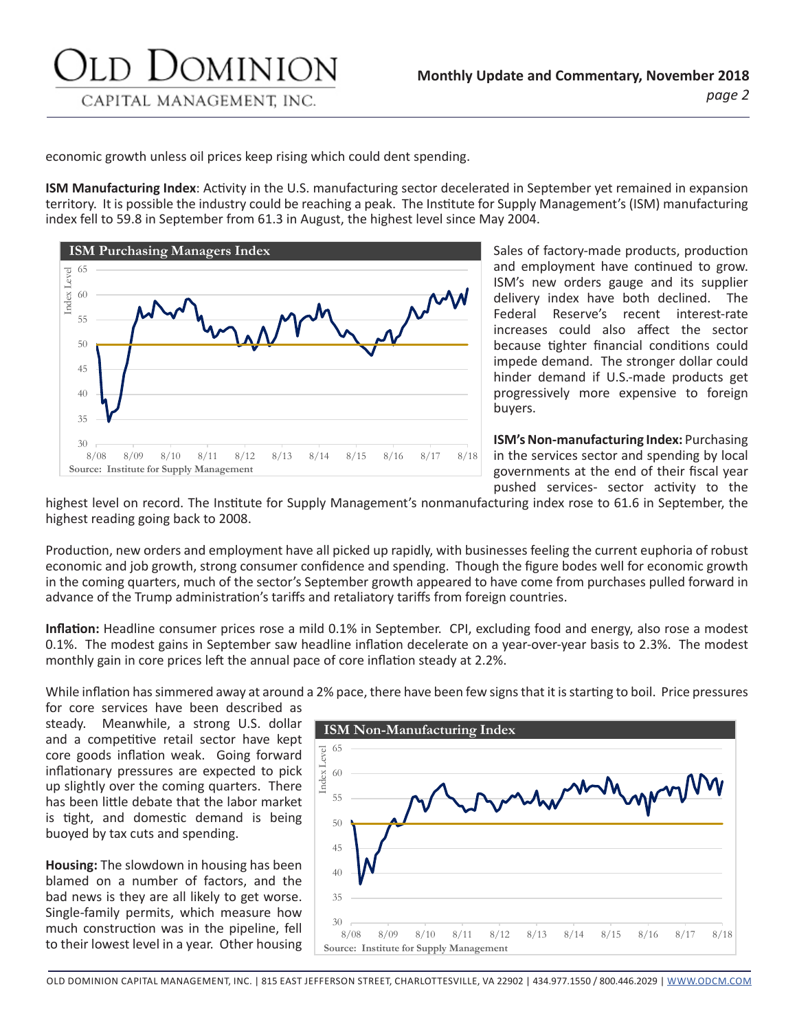economic growth unless oil prices keep rising which could dent spending.

**ISM Manufacturing Index**: Activity in the U.S. manufacturing sector decelerated in September yet remained in expansion territory. It is possible the industry could be reaching a peak. The Institute for Supply Management's (ISM) manufacturing index fell to 59.8 in September from 61.3 in August, the highest level since May 2004.



Sales of factory-made products, production and employment have continued to grow. ISM's new orders gauge and its supplier delivery index have both declined. The Federal Reserve's recent interest-rate increases could also affect the sector because tighter financial conditions could impede demand. The stronger dollar could hinder demand if U.S.-made products get progressively more expensive to foreign buyers.

**ISM's Non-manufacturing Index:** Purchasing in the services sector and spending by local governments at the end of their fiscal year pushed services- sector activity to the

highest level on record. The Institute for Supply Management's nonmanufacturing index rose to 61.6 in September, the highest reading going back to 2008.

Production, new orders and employment have all picked up rapidly, with businesses feeling the current euphoria of robust economic and job growth, strong consumer confidence and spending. Though the figure bodes well for economic growth in the coming quarters, much of the sector's September growth appeared to have come from purchases pulled forward in advance of the Trump administration's tariffs and retaliatory tariffs from foreign countries.

**Inflation:** Headline consumer prices rose a mild 0.1% in September. CPI, excluding food and energy, also rose a modest 0.1%. The modest gains in September saw headline inflation decelerate on a year-over-year basis to 2.3%. The modest monthly gain in core prices left the annual pace of core inflation steady at 2.2%.

While inflation has simmered away at around a 2% pace, there have been few signs that it is starting to boil. Price pressures

for core services have been described as steady. Meanwhile, a strong U.S. dollar and a competitive retail sector have kept core goods inflation weak. Going forward inflationary pressures are expected to pick up slightly over the coming quarters. There has been little debate that the labor market is tight, and domestic demand is being buoyed by tax cuts and spending.

**Housing:** The slowdown in housing has been blamed on a number of factors, and the bad news is they are all likely to get worse. Single-family permits, which measure how much construction was in the pipeline, fell to their lowest level in a year. Other housing



OLD DOMINION CAPITAL MANAGEMENT, INC. | 815 EAST JEFFERSON STREET, CHARLOTTESVILLE, VA 22902 | 434.977.1550 / 800.446.2029 | WWW.ODCM.COM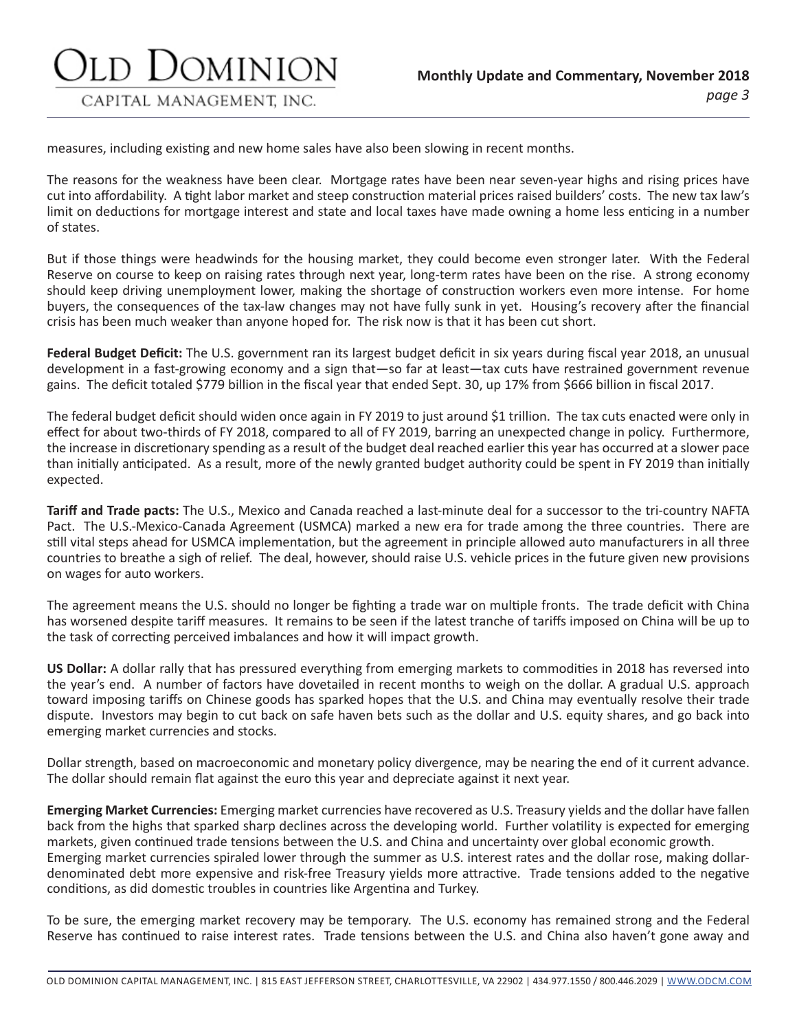measures, including existing and new home sales have also been slowing in recent months.

Jominion

CAPITAL MANAGEMENT, INC.

The reasons for the weakness have been clear. Mortgage rates have been near seven-year highs and rising prices have cut into affordability. A tight labor market and steep construction material prices raised builders' costs. The new tax law's limit on deductions for mortgage interest and state and local taxes have made owning a home less enticing in a number of states.

But if those things were headwinds for the housing market, they could become even stronger later. With the Federal Reserve on course to keep on raising rates through next year, long-term rates have been on the rise. A strong economy should keep driving unemployment lower, making the shortage of construction workers even more intense. For home buyers, the consequences of the tax-law changes may not have fully sunk in yet. Housing's recovery after the financial crisis has been much weaker than anyone hoped for. The risk now is that it has been cut short.

**Federal Budget Deficit:** The U.S. government ran its largest budget deficit in six years during fiscal year 2018, an unusual development in a fast-growing economy and a sign that—so far at least—tax cuts have restrained government revenue gains. The deficit totaled \$779 billion in the fiscal year that ended Sept. 30, up 17% from \$666 billion in fiscal 2017.

The federal budget deficit should widen once again in FY 2019 to just around \$1 trillion. The tax cuts enacted were only in effect for about two-thirds of FY 2018, compared to all of FY 2019, barring an unexpected change in policy. Furthermore, the increase in discretionary spending as a result of the budget deal reached earlier this year has occurred at a slower pace than initially anticipated. As a result, more of the newly granted budget authority could be spent in FY 2019 than initially expected.

**Tariff and Trade pacts:** The U.S., Mexico and Canada reached a last-minute deal for a successor to the tri-country NAFTA Pact. The U.S.-Mexico-Canada Agreement (USMCA) marked a new era for trade among the three countries. There are still vital steps ahead for USMCA implementation, but the agreement in principle allowed auto manufacturers in all three countries to breathe a sigh of relief. The deal, however, should raise U.S. vehicle prices in the future given new provisions on wages for auto workers.

The agreement means the U.S. should no longer be fighting a trade war on multiple fronts. The trade deficit with China has worsened despite tariff measures. It remains to be seen if the latest tranche of tariffs imposed on China will be up to the task of correcting perceived imbalances and how it will impact growth.

**US Dollar:** A dollar rally that has pressured everything from emerging markets to commodities in 2018 has reversed into the year's end. A number of factors have dovetailed in recent months to weigh on the dollar. A gradual U.S. approach toward imposing tariffs on Chinese goods has sparked hopes that the U.S. and China may eventually resolve their trade dispute. Investors may begin to cut back on safe haven bets such as the dollar and U.S. equity shares, and go back into emerging market currencies and stocks.

Dollar strength, based on macroeconomic and monetary policy divergence, may be nearing the end of it current advance. The dollar should remain flat against the euro this year and depreciate against it next year.

**Emerging Market Currencies:** Emerging market currencies have recovered as U.S. Treasury yields and the dollar have fallen back from the highs that sparked sharp declines across the developing world. Further volatility is expected for emerging markets, given continued trade tensions between the U.S. and China and uncertainty over global economic growth. Emerging market currencies spiraled lower through the summer as U.S. interest rates and the dollar rose, making dollardenominated debt more expensive and risk-free Treasury yields more attractive. Trade tensions added to the negative conditions, as did domestic troubles in countries like Argentina and Turkey.

To be sure, the emerging market recovery may be temporary. The U.S. economy has remained strong and the Federal Reserve has continued to raise interest rates. Trade tensions between the U.S. and China also haven't gone away and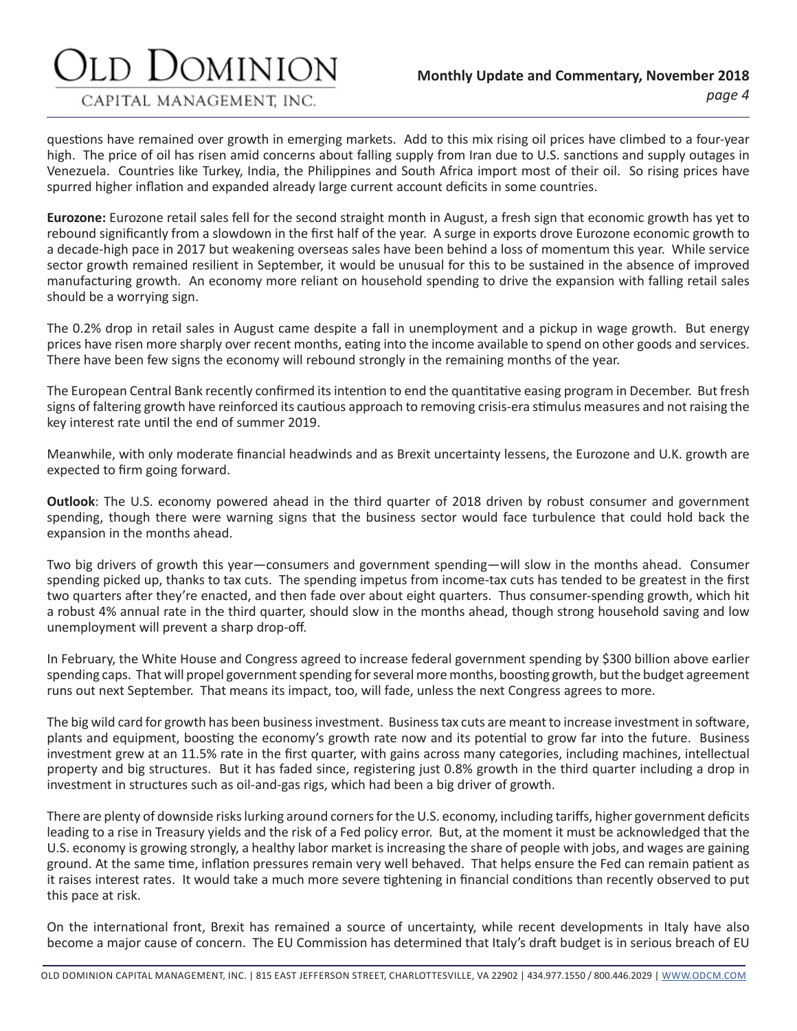### DOMINION

#### CAPITAL MANAGEMENT, INC.

questions have remained over growth in emerging markets. Add to this mix rising oil prices have climbed to a four-year high. The price of oil has risen amid concerns about falling supply from Iran due to U.S. sanctions and supply outages in Venezuela. Countries like Turkey, India, the Philippines and South Africa import most of their oil. So rising prices have spurred higher inflation and expanded already large current account deficits in some countries.

**Eurozone:** Eurozone retail sales fell for the second straight month in August, a fresh sign that economic growth has yet to rebound significantly from a slowdown in the first half of the year. A surge in exports drove Eurozone economic growth to a decade-high pace in 2017 but weakening overseas sales have been behind a loss of momentum this year. While service sector growth remained resilient in September, it would be unusual for this to be sustained in the absence of improved manufacturing growth. An economy more reliant on household spending to drive the expansion with falling retail sales should be a worrying sign.

The 0.2% drop in retail sales in August came despite a fall in unemployment and a pickup in wage growth. But energy prices have risen more sharply over recent months, eating into the income available to spend on other goods and services. There have been few signs the economy will rebound strongly in the remaining months of the year.

The European Central Bank recently confirmed its intention to end the quantitative easing program in December. But fresh signs of faltering growth have reinforced its cautious approach to removing crisis-era stimulus measures and not raising the key interest rate until the end of summer 2019.

Meanwhile, with only moderate financial headwinds and as Brexit uncertainty lessens, the Eurozone and U.K. growth are expected to firm going forward.

**Outlook**: The U.S. economy powered ahead in the third quarter of 2018 driven by robust consumer and government spending, though there were warning signs that the business sector would face turbulence that could hold back the expansion in the months ahead.

Two big drivers of growth this year—consumers and government spending—will slow in the months ahead. Consumer spending picked up, thanks to tax cuts. The spending impetus from income-tax cuts has tended to be greatest in the first two quarters after they're enacted, and then fade over about eight quarters. Thus consumer-spending growth, which hit a robust 4% annual rate in the third quarter, should slow in the months ahead, though strong household saving and low unemployment will prevent a sharp drop-off.

In February, the White House and Congress agreed to increase federal government spending by \$300 billion above earlier spending caps. That will propel government spending for several more months, boosting growth, but the budget agreement runs out next September. That means its impact, too, will fade, unless the next Congress agrees to more.

The big wild card for growth has been business investment. Business tax cuts are meant to increase investment in software, plants and equipment, boosting the economy's growth rate now and its potential to grow far into the future. Business investment grew at an 11.5% rate in the first quarter, with gains across many categories, including machines, intellectual property and big structures. But it has faded since, registering just 0.8% growth in the third quarter including a drop in investment in structures such as oil-and-gas rigs, which had been a big driver of growth.

There are plenty of downside risks lurking around corners for the U.S. economy, including tariffs, higher government deficits leading to a rise in Treasury yields and the risk of a Fed policy error. But, at the moment it must be acknowledged that the U.S. economy is growing strongly, a healthy labor market is increasing the share of people with jobs, and wages are gaining ground. At the same time, inflation pressures remain very well behaved. That helps ensure the Fed can remain patient as it raises interest rates. It would take a much more severe tightening in financial conditions than recently observed to put this pace at risk.

On the international front, Brexit has remained a source of uncertainty, while recent developments in Italy have also become a major cause of concern. The EU Commission has determined that Italy's draft budget is in serious breach of EU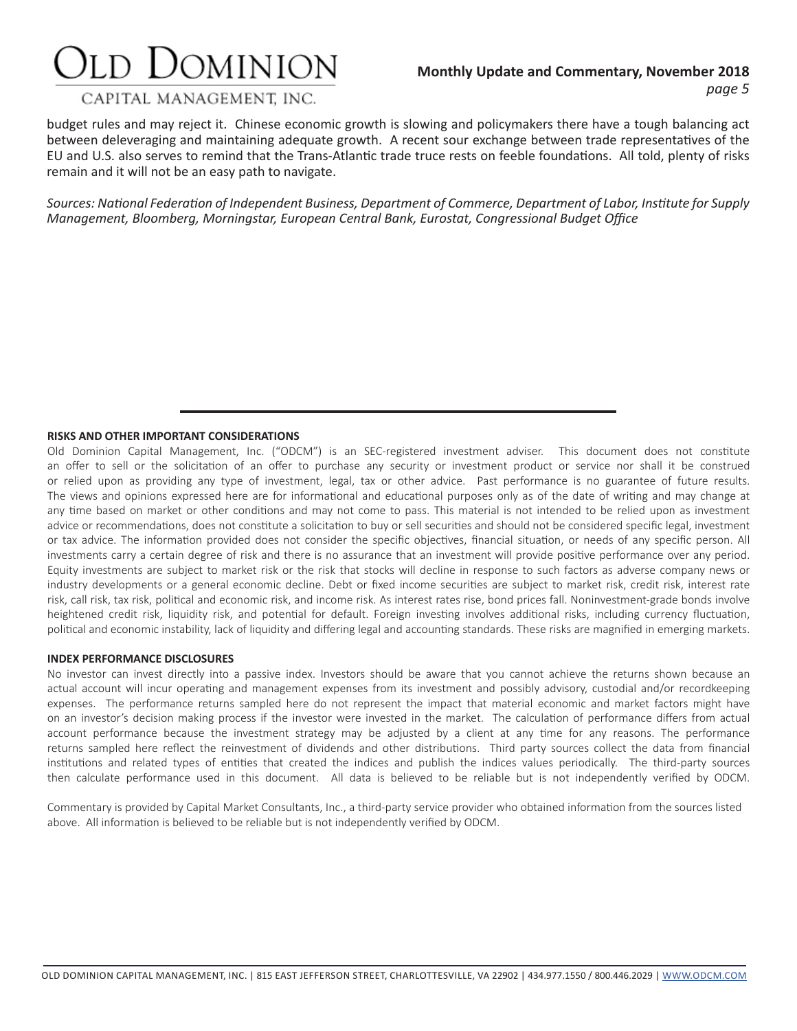### Old Dominion

#### **Monthly Update and Commentary, November 2018** *page 5*

#### CAPITAL MANAGEMENT. INC.

budget rules and may reject it. Chinese economic growth is slowing and policymakers there have a tough balancing act between deleveraging and maintaining adequate growth. A recent sour exchange between trade representatives of the EU and U.S. also serves to remind that the Trans-Atlantic trade truce rests on feeble foundations. All told, plenty of risks remain and it will not be an easy path to navigate.

*Sources: National Federation of Independent Business, Department of Commerce, Department of Labor, Institute for Supply Management, Bloomberg, Morningstar, European Central Bank, Eurostat, Congressional Budget Office*

#### **RISKS AND OTHER IMPORTANT CONSIDERATIONS**

Old Dominion Capital Management, Inc. ("ODCM") is an SEC-registered investment adviser. This document does not constitute an offer to sell or the solicitation of an offer to purchase any security or investment product or service nor shall it be construed or relied upon as providing any type of investment, legal, tax or other advice. Past performance is no guarantee of future results. The views and opinions expressed here are for informational and educational purposes only as of the date of writing and may change at any time based on market or other conditions and may not come to pass. This material is not intended to be relied upon as investment advice or recommendations, does not constitute a solicitation to buy or sell securities and should not be considered specific legal, investment or tax advice. The information provided does not consider the specific objectives, financial situation, or needs of any specific person. All investments carry a certain degree of risk and there is no assurance that an investment will provide positive performance over any period. Equity investments are subject to market risk or the risk that stocks will decline in response to such factors as adverse company news or industry developments or a general economic decline. Debt or fixed income securities are subject to market risk, credit risk, interest rate risk, call risk, tax risk, political and economic risk, and income risk. As interest rates rise, bond prices fall. Noninvestment-grade bonds involve heightened credit risk, liquidity risk, and potential for default. Foreign investing involves additional risks, including currency fluctuation, political and economic instability, lack of liquidity and differing legal and accounting standards. These risks are magnified in emerging markets.

#### **INDEX PERFORMANCE DISCLOSURES**

No investor can invest directly into a passive index. Investors should be aware that you cannot achieve the returns shown because an actual account will incur operating and management expenses from its investment and possibly advisory, custodial and/or recordkeeping expenses. The performance returns sampled here do not represent the impact that material economic and market factors might have on an investor's decision making process if the investor were invested in the market. The calculation of performance differs from actual account performance because the investment strategy may be adjusted by a client at any time for any reasons. The performance returns sampled here reflect the reinvestment of dividends and other distributions. Third party sources collect the data from financial institutions and related types of entities that created the indices and publish the indices values periodically. The third-party sources then calculate performance used in this document. All data is believed to be reliable but is not independently verified by ODCM.

Commentary is provided by Capital Market Consultants, Inc., a third-party service provider who obtained information from the sources listed above. All information is believed to be reliable but is not independently verified by ODCM.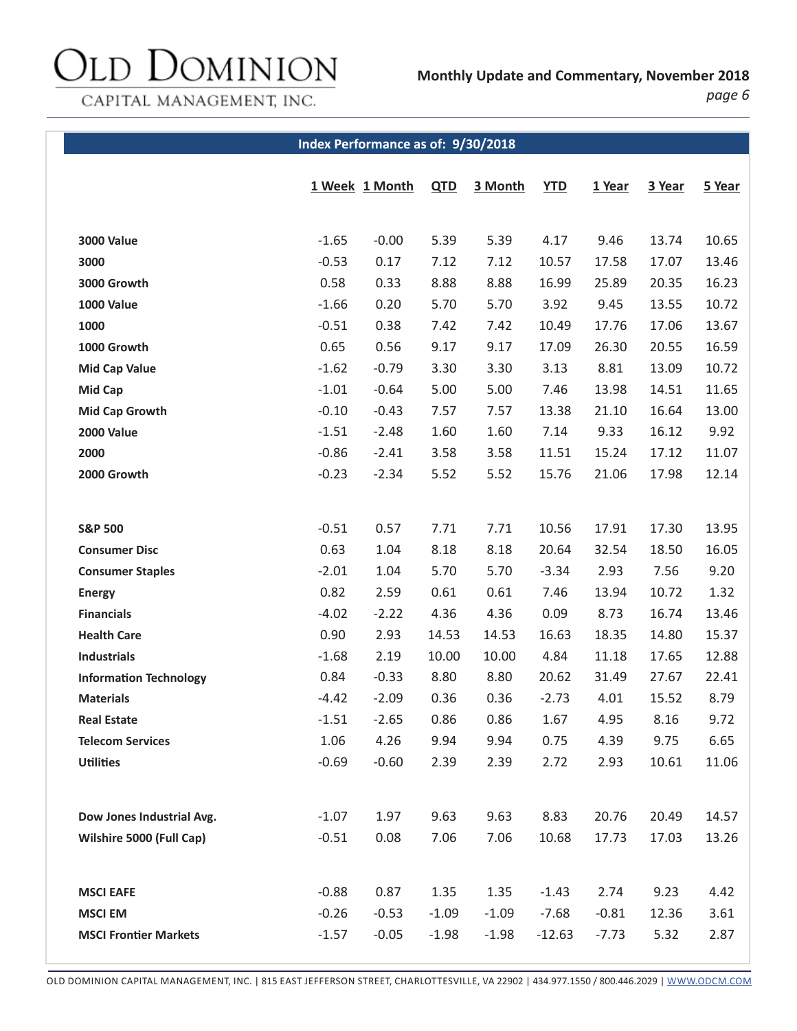## Old Dominion

**Monthly Update and Commentary, November 2018**

CAPITAL MANAGEMENT, INC.

*page 6*

#### **Index Performance as of: 9/30/2018**

|                               |         | 1 Week 1 Month | QTD     | 3 Month | <b>YTD</b> | 1 Year  | 3 Year | 5 Year |
|-------------------------------|---------|----------------|---------|---------|------------|---------|--------|--------|
|                               |         |                |         |         |            |         |        |        |
| <b>3000 Value</b>             | $-1.65$ | $-0.00$        | 5.39    | 5.39    | 4.17       | 9.46    | 13.74  | 10.65  |
| 3000                          | $-0.53$ | 0.17           | 7.12    | 7.12    | 10.57      | 17.58   | 17.07  | 13.46  |
| 3000 Growth                   | 0.58    | 0.33           | 8.88    | 8.88    | 16.99      | 25.89   | 20.35  | 16.23  |
| <b>1000 Value</b>             | $-1.66$ | 0.20           | 5.70    | 5.70    | 3.92       | 9.45    | 13.55  | 10.72  |
| 1000                          | $-0.51$ | 0.38           | 7.42    | 7.42    | 10.49      | 17.76   | 17.06  | 13.67  |
| 1000 Growth                   | 0.65    | 0.56           | 9.17    | 9.17    | 17.09      | 26.30   | 20.55  | 16.59  |
| <b>Mid Cap Value</b>          | $-1.62$ | $-0.79$        | 3.30    | 3.30    | 3.13       | 8.81    | 13.09  | 10.72  |
| <b>Mid Cap</b>                | $-1.01$ | $-0.64$        | 5.00    | 5.00    | 7.46       | 13.98   | 14.51  | 11.65  |
| <b>Mid Cap Growth</b>         | $-0.10$ | $-0.43$        | 7.57    | 7.57    | 13.38      | 21.10   | 16.64  | 13.00  |
| 2000 Value                    | $-1.51$ | $-2.48$        | 1.60    | 1.60    | 7.14       | 9.33    | 16.12  | 9.92   |
| 2000                          | $-0.86$ | $-2.41$        | 3.58    | 3.58    | 11.51      | 15.24   | 17.12  | 11.07  |
| 2000 Growth                   | $-0.23$ | $-2.34$        | 5.52    | 5.52    | 15.76      | 21.06   | 17.98  | 12.14  |
|                               |         |                |         |         |            |         |        |        |
| <b>S&amp;P 500</b>            | $-0.51$ | 0.57           | 7.71    | 7.71    | 10.56      | 17.91   | 17.30  | 13.95  |
| <b>Consumer Disc</b>          | 0.63    | 1.04           | 8.18    | 8.18    | 20.64      | 32.54   | 18.50  | 16.05  |
| <b>Consumer Staples</b>       | $-2.01$ | 1.04           | 5.70    | 5.70    | $-3.34$    | 2.93    | 7.56   | 9.20   |
| <b>Energy</b>                 | 0.82    | 2.59           | 0.61    | 0.61    | 7.46       | 13.94   | 10.72  | 1.32   |
| <b>Financials</b>             | $-4.02$ | $-2.22$        | 4.36    | 4.36    | 0.09       | 8.73    | 16.74  | 13.46  |
| <b>Health Care</b>            | 0.90    | 2.93           | 14.53   | 14.53   | 16.63      | 18.35   | 14.80  | 15.37  |
| <b>Industrials</b>            | $-1.68$ | 2.19           | 10.00   | 10.00   | 4.84       | 11.18   | 17.65  | 12.88  |
| <b>Information Technology</b> | 0.84    | $-0.33$        | 8.80    | 8.80    | 20.62      | 31.49   | 27.67  | 22.41  |
| <b>Materials</b>              | $-4.42$ | $-2.09$        | 0.36    | 0.36    | $-2.73$    | 4.01    | 15.52  | 8.79   |
| <b>Real Estate</b>            | $-1.51$ | $-2.65$        | 0.86    | 0.86    | 1.67       | 4.95    | 8.16   | 9.72   |
| <b>Telecom Services</b>       | 1.06    | 4.26           | 9.94    | 9.94    | 0.75       | 4.39    | 9.75   | 6.65   |
| <b>Utilities</b>              | $-0.69$ | $-0.60$        | 2.39    | 2.39    | 2.72       | 2.93    | 10.61  | 11.06  |
|                               |         |                |         |         |            |         |        |        |
| Dow Jones Industrial Avg.     | $-1.07$ | 1.97           | 9.63    | 9.63    | 8.83       | 20.76   | 20.49  | 14.57  |
| Wilshire 5000 (Full Cap)      | $-0.51$ | 0.08           | 7.06    | 7.06    | 10.68      | 17.73   | 17.03  | 13.26  |
|                               |         |                |         |         |            |         |        |        |
|                               |         |                |         |         |            |         |        |        |
| <b>MSCI EAFE</b>              | $-0.88$ | 0.87           | 1.35    | 1.35    | $-1.43$    | 2.74    | 9.23   | 4.42   |
| <b>MSCI EM</b>                | $-0.26$ | $-0.53$        | $-1.09$ | $-1.09$ | $-7.68$    | $-0.81$ | 12.36  | 3.61   |
| <b>MSCI Frontier Markets</b>  | $-1.57$ | $-0.05$        | $-1.98$ | $-1.98$ | $-12.63$   | $-7.73$ | 5.32   | 2.87   |
|                               |         |                |         |         |            |         |        |        |

OLD DOMINION CAPITAL MANAGEMENT, INC. | 815 EAST JEFFERSON STREET, CHARLOTTESVILLE, VA 22902 | 434.977.1550 / 800.446.2029 | WWW.ODCM.COM